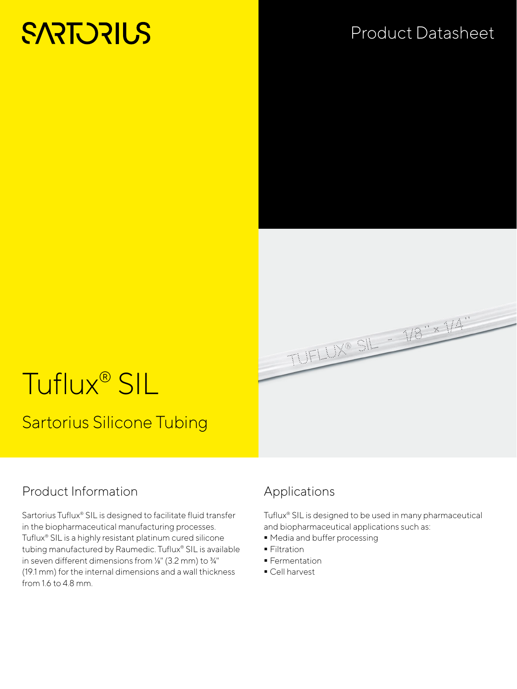# **SARTORILS**

## Product Datasheet



# Tuflux® SIL Sartorius Silicone Tubing

#### Product Information

Sartorius Tuflux® SIL is designed to facilitate fluid transfer in the biopharmaceutical manufacturing processes. Tuflux® SIL is a highly resistant platinum cured silicone tubing manufactured by Raumedic. Tuflux® SIL is available in seven different dimensions from ⅛" (3.2 mm) to ¾" (19.1 mm) for the internal dimensions and a wall thickness from 1.6 to 4.8 mm.

#### Applications

Tuflux® SIL is designed to be used in many pharmaceutical and biopharmaceutical applications such as:

- $\blacksquare$  Media and buffer processing
- **Filtration**
- **Fermentation**
- Cell harvest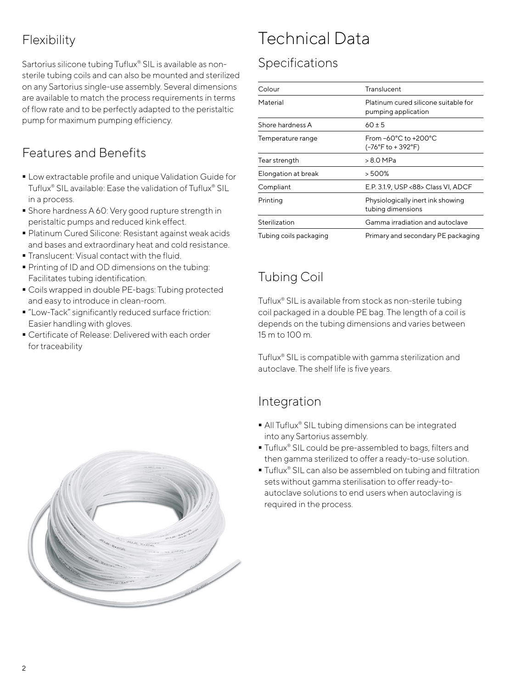### Flexibility

Sartorius silicone tubing Tuflux® SIL is available as nonsterile tubing coils and can also be mounted and sterilized on any Sartorius single-use assembly. Several dimensions are available to match the process requirements in terms of flow rate and to be perfectly adapted to the peristaltic pump for maximum pumping efficiency.

#### Features and Benefits

- Low extractable profile and unique Validation Guide for Tuflux® SIL available: Ease the validation of Tuflux® SIL in a process.
- **Shore hardness A 60: Very good rupture strength in** peristaltic pumps and reduced kink effect.
- Platinum Cured Silicone: Resistant against weak acids and bases and extraordinary heat and cold resistance.
- Translucent: Visual contact with the fluid.
- **Printing of ID and OD dimensions on the tubing:** Facilitates tubing identification.
- Coils wrapped in double PE-bags: Tubing protected and easy to introduce in clean-room.
- "Low-Tack" significantly reduced surface friction: Easier handling with gloves.
- Certificate of Release: Delivered with each order for traceability

# Technical Data

#### Specifications

| Colour                 | Translucent                                                      |
|------------------------|------------------------------------------------------------------|
| Material               | Platinum cured silicone suitable for<br>pumping application      |
| Shore hardness A       | $60 \pm 5$                                                       |
| Temperature range      | From $-60^{\circ}$ C to $+200^{\circ}$ C<br>$(-76°F to + 392°F)$ |
| Tear strength          | > 8.0 MPa                                                        |
| Elongation at break    | > 500%                                                           |
| Compliant              | E.P. 3.1.9. USP <88> Class VI. ADCF                              |
| Printing               | Physiologically inert ink showing<br>tubing dimensions           |
| Sterilization          | Gamma irradiation and autoclave                                  |
| Tubing coils packaging | Primary and secondary PE packaging                               |

### Tubing Coil

Tuflux® SIL is available from stock as non-sterile tubing coil packaged in a double PE bag. The length of a coil is depends on the tubing dimensions and varies between 15 m to 100 m.

Tuflux® SIL is compatible with gamma sterilization and autoclave. The shelf life is five years.

#### Integration

- All Tuflux<sup>®</sup> SIL tubing dimensions can be integrated into any Sartorius assembly.
- Tuflux<sup>®</sup> SIL could be pre-assembled to bags, filters and then gamma sterilized to offer a ready-to-use solution.
- Tuflux<sup>®</sup> SIL can also be assembled on tubing and filtration sets without gamma sterilisation to offer ready-toautoclave solutions to end users when autoclaving is required in the process.

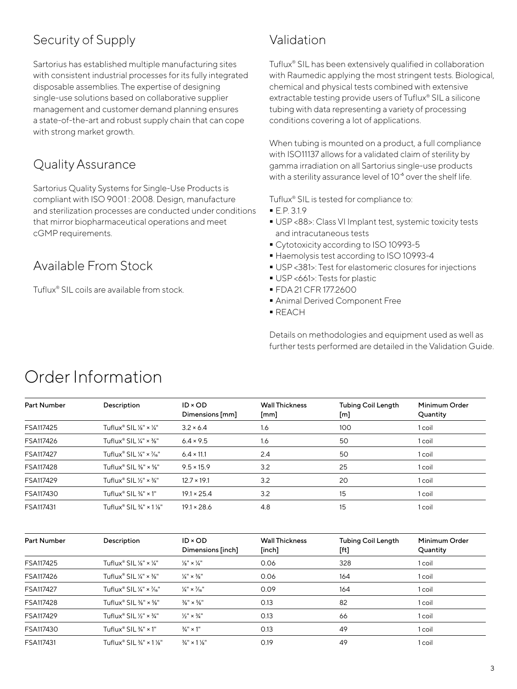#### Security of Supply

Sartorius has established multiple manufacturing sites with consistent industrial processes for its fully integrated disposable assemblies. The expertise of designing single-use solutions based on collaborative supplier management and customer demand planning ensures a state-of-the-art and robust supply chain that can cope with strong market growth.

#### Quality Assurance

Sartorius Quality Systems for Single-Use Products is compliant with ISO 9001 : 2008. Design, manufacture and sterilization processes are conducted under conditions that mirror biopharmaceutical operations and meet cGMP requirements.

#### Available From Stock

Tuflux® SIL coils are available from stock.

#### Validation

Tuflux® SIL has been extensively qualified in collaboration with Raumedic applying the most stringent tests. Biological, chemical and physical tests combined with extensive extractable testing provide users of Tuflux® SIL a silicone tubing with data representing a variety of processing conditions covering a lot of applications.

When tubing is mounted on a product, a full compliance with ISO11137 allows for a validated claim of sterility by gamma irradiation on all Sartorius single-use products with a sterility assurance level of  $10<sup>3</sup>$  over the shelf life.

Tuflux® SIL is tested for compliance to:

- E.P. 3.1.9
- USP <88>: Class VI Implant test, systemic toxicity tests and intracutaneous tests
- Cytotoxicity according to ISO 10993-5
- Haemolysis test according to ISO 10993-4
- USP <381>: Test for elastomeric closures for injections
- USP <661>: Tests for plastic
- FDA 21 CFR 177.2600
- Animal Derived Component Free
- REACH

Details on methodologies and equipment used as well as further tests performed are detailed in the Validation Guide.

| Part Number | Description                                                          | $ID \times OD$<br>Dimensions [mm] | <b>Wall Thickness</b><br>$\lceil mm \rceil$ | <b>Tubing Coil Length</b><br>[m] | Minimum Order<br>Quantity |
|-------------|----------------------------------------------------------------------|-----------------------------------|---------------------------------------------|----------------------------------|---------------------------|
| FSA117425   | Tuflux <sup>®</sup> SIL $\frac{1}{8}$ " × $\frac{1}{4}$ "            | $3.2 \times 6.4$                  | 1.6                                         | 100                              | 1 coil                    |
| FSA117426   | Tuflux® SIL $\frac{1}{4}$ " × $\frac{3}{8}$ "                        | $6.4 \times 9.5$                  | 1.6                                         | 50                               | 1 coil                    |
| FSA117427   | Tuflux <sup>®</sup> SIL $\frac{1}{4}$ " × $\frac{7}{16}$ "           | $6.4 \times 11.1$                 | 2.4                                         | 50                               | 1 coil                    |
| FSA117428   | Tuflux® SIL $\frac{3}{8}$ " × $\frac{5}{8}$ "                        | $9.5 \times 15.9$                 | 3.2                                         | 25                               | 1 coil                    |
| FSA117429   | Tuflux <sup>®</sup> SIL 1/ <sub>2</sub> " $\times$ 3/ <sub>4</sub> " | $12.7 \times 19.1$                | 3.2                                         | 20                               | 1 coil                    |
| FSA117430   | Tuflux <sup>®</sup> SIL $\frac{3}{4}$ " × 1"                         | $19.1 \times 25.4$                | 3.2                                         | 15                               | 1 coil                    |
| FSA117431   | Tuflux <sup>®</sup> SIL $\frac{3}{4}$ " × 1 $\frac{1}{8}$ "          | $19.1 \times 28.6$                | 4.8                                         | 15                               | 1 coil                    |

## Order Information

| Part Number | Description                                                | $ID \times OD$<br>Dimensions [inch] | <b>Wall Thickness</b><br>[inch] | <b>Tubing Coil Length</b><br>[ft] | Minimum Order<br>Quantity |
|-------------|------------------------------------------------------------|-------------------------------------|---------------------------------|-----------------------------------|---------------------------|
| FSA117425   | Tuflux® SIL $\frac{1}{8}$ " × $\frac{1}{4}$ "              | $\frac{1}{8}$ " × $\frac{1}{4}$ "   | 0.06                            | 328                               | 1 coil                    |
| FSA117426   | Tuflux <sup>®</sup> SIL $\frac{1}{4}$ " × $\frac{3}{8}$ "  | $\frac{1}{4}$ " × $\frac{3}{8}$ "   | 0.06                            | 164                               | 1 coil                    |
| FSA117427   | Tuflux <sup>®</sup> SIL $\frac{1}{4}$ " × $\frac{7}{16}$ " | $\frac{1}{4}$ × $\frac{7}{16}$ "    | 0.09                            | 164                               | 1 coil                    |
| FSA117428   | Tuflux® SIL $\frac{1}{8}$ " × $\frac{5}{8}$ "              | $\frac{3}{8}$ " × $\frac{5}{8}$ "   | 0.13                            | 82                                | 1 coil                    |
| FSA117429   | Tuflux <sup>®</sup> SIL 1/ <sub>2</sub> " $\times$ 3/4"    | $\frac{1}{2}$ " × $\frac{3}{4}$ "   | 0.13                            | 66                                | 1 coil                    |
| FSA117430   | Tuflux <sup>®</sup> SIL $\frac{3}{4}$ " × 1"               | $\frac{3}{4}$ " x 1"                | 0.13                            | 49                                | 1 coil                    |
| FSA117431   | Tuflux® SIL $\frac{3}{4}$ " × 1 1/8"                       | $\frac{3}{4}$ " x 1 $\frac{1}{8}$ " | 0.19                            | 49                                | 1 coil                    |